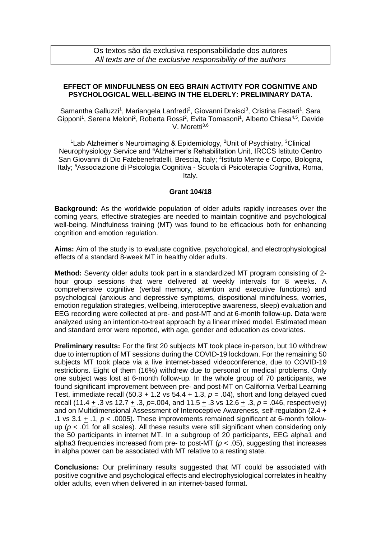## **EFFECT OF MINDFULNESS ON EEG BRAIN ACTIVITY FOR COGNITIVE AND PSYCHOLOGICAL WELL-BEING IN THE ELDERLY: PRELIMINARY DATA.**

Samantha Galluzzi<sup>1</sup>, Mariangela Lanfredi<sup>2</sup>, Giovanni Draisci<sup>3</sup>, Cristina Festari<sup>1</sup>, Sara Gipponi<sup>1</sup>, Serena Meloni<sup>2</sup>, Roberta Rossi<sup>2</sup>, Evita Tomasoni<sup>1</sup>, Alberto Chiesa<sup>4,5</sup>, Davide V. Moretti<sup>3,6</sup>

<sup>1</sup> Lab Alzheimer's Neuroimaging & Epidemiology, <sup>2</sup> Unit of Psychiatry, <sup>3</sup> Clinical Neurophysiology Service and <sup>6</sup>Alzheimer's Rehabilitation Unit, IRCCS Istituto Centro San Giovanni di Dio Fatebenefratelli, Brescia, Italy; <sup>4</sup>Istituto Mente e Corpo, Bologna, Italy; <sup>5</sup>Associazione di Psicologia Cognitiva - Scuola di Psicoterapia Cognitiva, Roma, Italy.

## **Grant 104/18**

**Background:** As the worldwide population of older adults rapidly increases over the coming years, effective strategies are needed to maintain cognitive and psychological well-being. Mindfulness training (MT) was found to be efficacious both for enhancing cognition and emotion regulation.

**Aims:** Aim of the study is to evaluate cognitive, psychological, and electrophysiological effects of a standard 8-week MT in healthy older adults.

**Method:** Seventy older adults took part in a standardized MT program consisting of 2 hour group sessions that were delivered at weekly intervals for 8 weeks. A comprehensive cognitive (verbal memory, attention and executive functions) and psychological (anxious and depressive symptoms, dispositional mindfulness, worries, emotion regulation strategies, wellbeing, interoceptive awareness, sleep) evaluation and EEG recording were collected at pre- and post-MT and at 6-month follow-up. Data were analyzed using an intention-to-treat approach by a linear mixed model. Estimated mean and standard error were reported, with age, gender and education as covariates.

**Preliminary results:** For the first 20 subjects MT took place in-person, but 10 withdrew due to interruption of MT sessions during the COVID-19 lockdown. For the remaining 50 subjects MT took place via a live internet-based videoconference, due to COVID-19 restrictions. Eight of them (16%) withdrew due to personal or medical problems. Only one subject was lost at 6-month follow-up. In the whole group of 70 participants, we found significant improvement between pre- and post-MT on California Verbal Learning Test, immediate recall (50.3  $\pm$  1.2 vs 54.4  $\pm$  1.3,  $p = .04$ ), short and long delayed cued recall (11.4 + .3 vs 12.7 + .3, *p*=.004, and 11.5 + .3 vs 12.6 + .3, *p* = .046, respectively) and on Multidimensional Assessment of Interoceptive Awareness, self-regulation (2.4 + .1 vs 3.1  $\pm$  .1,  $p <$  .0005). These improvements remained significant at 6-month followup (*p* < .01 for all scales). All these results were still significant when considering only the 50 participants in internet MT. In a subgroup of 20 participants, EEG alpha1 and alpha3 frequencies increased from pre- to post-MT (*p* < .05), suggesting that increases in alpha power can be associated with MT relative to a resting state.

**Conclusions:** Our preliminary results suggested that MT could be associated with positive cognitive and psychological effects and electrophysiological correlates in healthy older adults, even when delivered in an internet-based format.